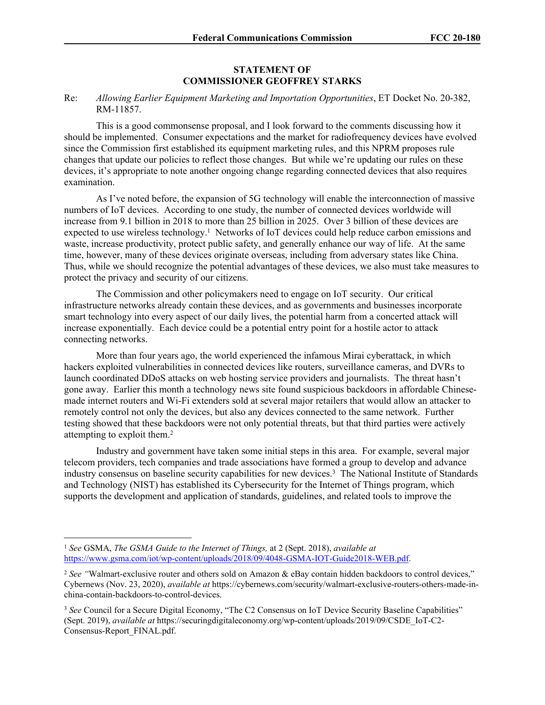## **STATEMENT OF COMMISSIONER GEOFFREY STARKS**

## Re: *Allowing Earlier Equipment Marketing and Importation Opportunities*, ET Docket No. 20-382, RM-11857.

This is a good commonsense proposal, and I look forward to the comments discussing how it should be implemented. Consumer expectations and the market for radiofrequency devices have evolved since the Commission first established its equipment marketing rules, and this NPRM proposes rule changes that update our policies to reflect those changes. But while we're updating our rules on these devices, it's appropriate to note another ongoing change regarding connected devices that also requires examination.

As I've noted before, the expansion of 5G technology will enable the interconnection of massive numbers of IoT devices. According to one study, the number of connected devices worldwide will increase from 9.1 billion in 2018 to more than 25 billion in 2025. Over 3 billion of these devices are expected to use wireless technology.<sup>1</sup> Networks of IoT devices could help reduce carbon emissions and waste, increase productivity, protect public safety, and generally enhance our way of life. At the same time, however, many of these devices originate overseas, including from adversary states like China. Thus, while we should recognize the potential advantages of these devices, we also must take measures to protect the privacy and security of our citizens.

The Commission and other policymakers need to engage on IoT security. Our critical infrastructure networks already contain these devices, and as governments and businesses incorporate smart technology into every aspect of our daily lives, the potential harm from a concerted attack will increase exponentially. Each device could be a potential entry point for a hostile actor to attack connecting networks.

More than four years ago, the world experienced the infamous Mirai cyberattack, in which hackers exploited vulnerabilities in connected devices like routers, surveillance cameras, and DVRs to launch coordinated DDoS attacks on web hosting service providers and journalists. The threat hasn't gone away. Earlier this month a technology news site found suspicious backdoors in affordable Chinesemade internet routers and Wi-Fi extenders sold at several major retailers that would allow an attacker to remotely control not only the devices, but also any devices connected to the same network. Further testing showed that these backdoors were not only potential threats, but that third parties were actively attempting to exploit them.<sup>2</sup>

Industry and government have taken some initial steps in this area. For example, several major telecom providers, tech companies and trade associations have formed a group to develop and advance industry consensus on baseline security capabilities for new devices.<sup>3</sup> The National Institute of Standards and Technology (NIST) has established its Cybersecurity for the Internet of Things program, which supports the development and application of standards, guidelines, and related tools to improve the

<sup>1</sup> *See* GSMA, *The GSMA Guide to the Internet of Things,* at 2 (Sept. 2018), *available at* https://www.gsma.com/iot/wp-content/uploads/2018/09/4048-GSMA-IOT-Guide2018-WEB.pdf.

<sup>&</sup>lt;sup>2</sup> See "Walmart-exclusive router and others sold on Amazon & eBay contain hidden backdoors to control devices," Cybernews (Nov. 23, 2020), *available at* https://cybernews.com/security/walmart-exclusive-routers-others-made-inchina-contain-backdoors-to-control-devices.

<sup>&</sup>lt;sup>3</sup> See Council for a Secure Digital Economy, "The C2 Consensus on IoT Device Security Baseline Capabilities" (Sept. 2019), *available at* https://securingdigitaleconomy.org/wp-content/uploads/2019/09/CSDE\_IoT-C2- Consensus-Report\_FINAL.pdf.